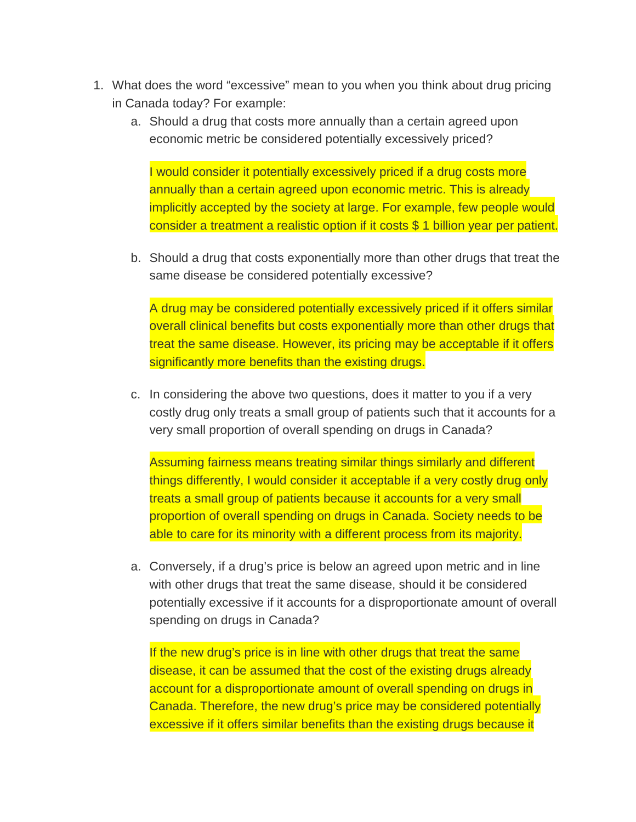- 1. What does the word "excessive" mean to you when you think about drug pricing in Canada today? For example:
	- a. Should a drug that costs more annually than a certain agreed upon economic metric be considered potentially excessively priced?

I would consider it potentially excessively priced if a drug costs more annually than a certain agreed upon economic metric. This is already implicitly accepted by the society at large. For example, few people would consider a treatment a realistic option if it costs \$ 1 billion year per patient.

b. Should a drug that costs exponentially more than other drugs that treat the same disease be considered potentially excessive?

A drug may be considered potentially excessively priced if it offers similar overall clinical benefits but costs exponentially more than other drugs that treat the same disease. However, its pricing may be acceptable if it offers significantly more benefits than the existing drugs.

c. In considering the above two questions, does it matter to you if a very costly drug only treats a small group of patients such that it accounts for a very small proportion of overall spending on drugs in Canada?

Assuming fairness means treating similar things similarly and different things differently, I would consider it acceptable if a very costly drug only treats a small group of patients because it accounts for a very small proportion of overall spending on drugs in Canada. Society needs to be able to care for its minority with a different process from its majority.

a. Conversely, if a drug's price is below an agreed upon metric and in line with other drugs that treat the same disease, should it be considered potentially excessive if it accounts for a disproportionate amount of overall spending on drugs in Canada?

If the new drug's price is in line with other drugs that treat the same disease, it can be assumed that the cost of the existing drugs already account for a disproportionate amount of overall spending on drugs in Canada. Therefore, the new drug's price may be considered potentially excessive if it offers similar benefits than the existing drugs because it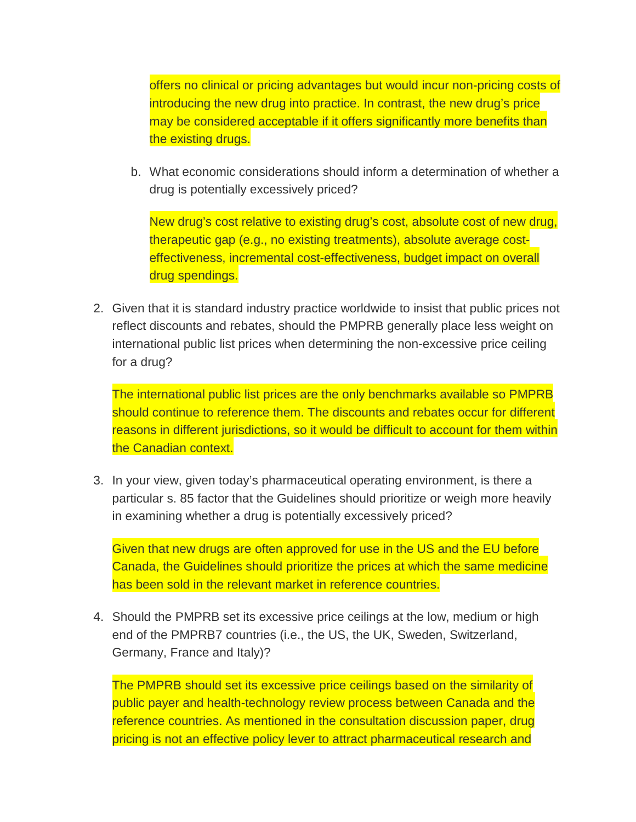offers no clinical or pricing advantages but would incur non-pricing costs of introducing the new drug into practice. In contrast, the new drug's price may be considered acceptable if it offers significantly more benefits than the existing drugs.

b. What economic considerations should inform a determination of whether a drug is potentially excessively priced?

New drug's cost relative to existing drug's cost, absolute cost of new drug, therapeutic gap (e.g., no existing treatments), absolute average costeffectiveness, incremental cost-effectiveness, budget impact on overall drug spendings.

2. Given that it is standard industry practice worldwide to insist that public prices not reflect discounts and rebates, should the PMPRB generally place less weight on international public list prices when determining the non-excessive price ceiling for a drug?

The international public list prices are the only benchmarks available so PMPRB should continue to reference them. The discounts and rebates occur for different reasons in different jurisdictions, so it would be difficult to account for them within the Canadian context.

3. In your view, given today's pharmaceutical operating environment, is there a particular s. 85 factor that the Guidelines should prioritize or weigh more heavily in examining whether a drug is potentially excessively priced?

Given that new drugs are often approved for use in the US and the EU before Canada, the Guidelines should prioritize the prices at which the same medicine has been sold in the relevant market in reference countries.

4. Should the PMPRB set its excessive price ceilings at the low, medium or high end of the PMPRB7 countries (i.e., the US, the UK, Sweden, Switzerland, Germany, France and Italy)?

The PMPRB should set its excessive price ceilings based on the similarity of public payer and health-technology review process between Canada and the reference countries. As mentioned in the consultation discussion paper, drug pricing is not an effective policy lever to attract pharmaceutical research and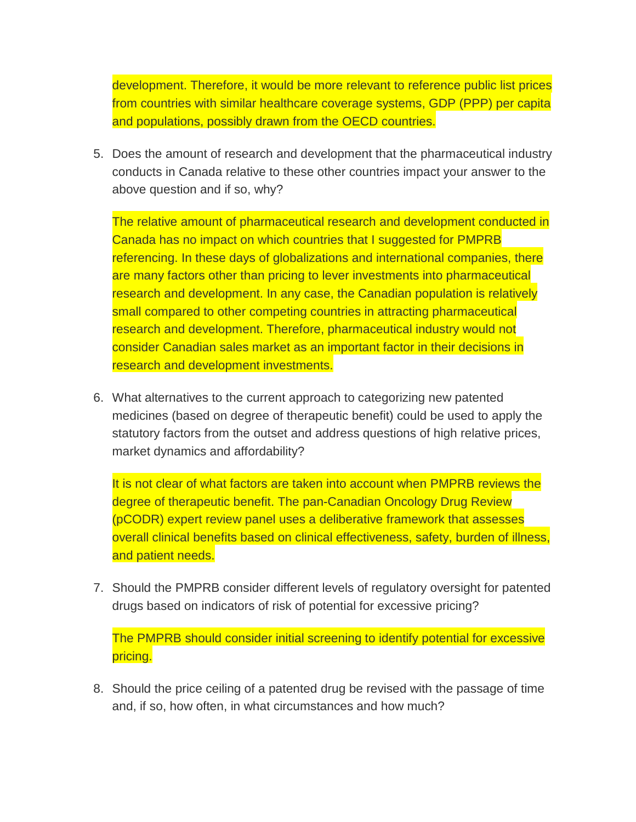development. Therefore, it would be more relevant to reference public list prices from countries with similar healthcare coverage systems, GDP (PPP) per capita and populations, possibly drawn from the OECD countries.

5. Does the amount of research and development that the pharmaceutical industry conducts in Canada relative to these other countries impact your answer to the above question and if so, why?

The relative amount of pharmaceutical research and development conducted in Canada has no impact on which countries that I suggested for PMPRB referencing. In these days of globalizations and international companies, there are many factors other than pricing to lever investments into pharmaceutical research and development. In any case, the Canadian population is relatively small compared to other competing countries in attracting pharmaceutical research and development. Therefore, pharmaceutical industry would not consider Canadian sales market as an important factor in their decisions in research and development investments.

6. What alternatives to the current approach to categorizing new patented medicines (based on degree of therapeutic benefit) could be used to apply the statutory factors from the outset and address questions of high relative prices, market dynamics and affordability?

It is not clear of what factors are taken into account when PMPRB reviews the degree of therapeutic benefit. The pan-Canadian Oncology Drug Review (pCODR) expert review panel uses a deliberative framework that assesses overall clinical benefits based on clinical effectiveness, safety, burden of illness, and patient needs.

7. Should the PMPRB consider different levels of regulatory oversight for patented drugs based on indicators of risk of potential for excessive pricing?

The PMPRB should consider initial screening to identify potential for excessive pricing.

8. Should the price ceiling of a patented drug be revised with the passage of time and, if so, how often, in what circumstances and how much?